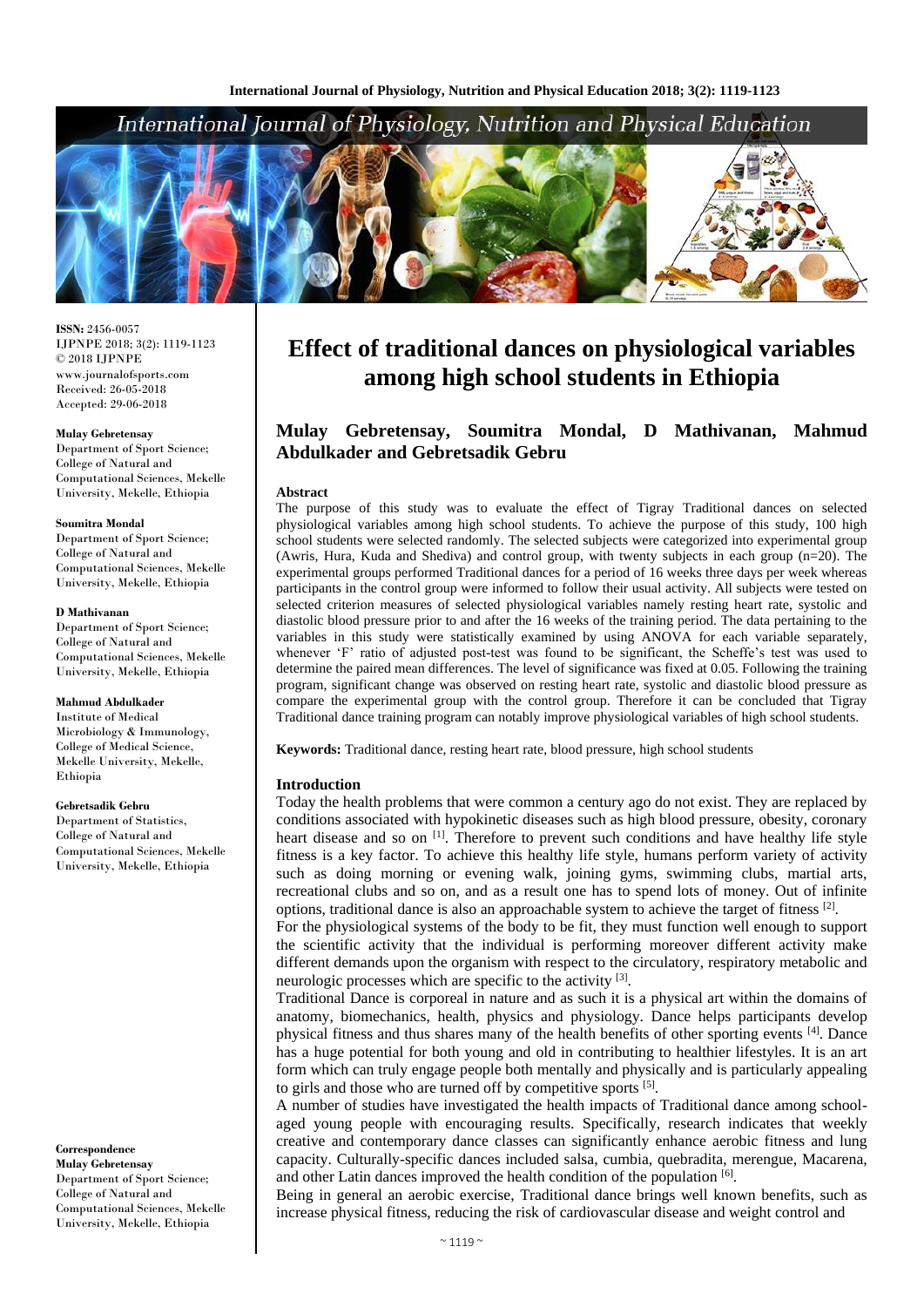# International Journal of Physiology, Nutrition and Physical Education



**ISSN:** 2456-0057 IJPNPE 2018; 3(2): 1119-1123  $\odot$  2018 IJPNPE www.journalofsports.com Received: 26-05-2018 Accepted: 29-06-2018

#### **Mulay Gebretensay**

Department of Sport Science; College of Natural and Computational Sciences, Mekelle University, Mekelle, Ethiopia

#### **Soumitra Mondal**

Department of Sport Science; College of Natural and Computational Sciences, Mekelle University, Mekelle, Ethiopia

#### **D Mathivanan**

Department of Sport Science; College of Natural and Computational Sciences, Mekelle University, Mekelle, Ethiopia

#### **Mahmud Abdulkader**

Institute of Medical Microbiology & Immunology, College of Medical Science, Mekelle University, Mekelle, Ethiopia

#### **Gebretsadik Gebru**

Department of Statistics, College of Natural and Computational Sciences, Mekelle University, Mekelle, Ethiopia

**Correspondence Mulay Gebretensay** Department of Sport Science; College of Natural and Computational Sciences, Mekelle University, Mekelle, Ethiopia

# **Effect of traditional dances on physiological variables among high school students in Ethiopia**

## **Mulay Gebretensay, Soumitra Mondal, D Mathivanan, Mahmud Abdulkader and Gebretsadik Gebru**

#### **Abstract**

The purpose of this study was to evaluate the effect of Tigray Traditional dances on selected physiological variables among high school students. To achieve the purpose of this study, 100 high school students were selected randomly. The selected subjects were categorized into experimental group (Awris, Hura, Kuda and Shediva) and control group, with twenty subjects in each group (n=20). The experimental groups performed Traditional dances for a period of 16 weeks three days per week whereas participants in the control group were informed to follow their usual activity. All subjects were tested on selected criterion measures of selected physiological variables namely resting heart rate, systolic and diastolic blood pressure prior to and after the 16 weeks of the training period. The data pertaining to the variables in this study were statistically examined by using ANOVA for each variable separately, whenever 'F' ratio of adjusted post-test was found to be significant, the Scheffe's test was used to determine the paired mean differences. The level of significance was fixed at 0.05. Following the training program, significant change was observed on resting heart rate, systolic and diastolic blood pressure as compare the experimental group with the control group. Therefore it can be concluded that Tigray Traditional dance training program can notably improve physiological variables of high school students.

**Keywords:** Traditional dance, resting heart rate, blood pressure, high school students

#### **Introduction**

Today the health problems that were common a century ago do not exist. They are replaced by conditions associated with hypokinetic diseases such as high blood pressure, obesity, coronary heart disease and so on [1]. Therefore to prevent such conditions and have healthy life style fitness is a key factor. To achieve this healthy life style, humans perform variety of activity such as doing morning or evening walk, joining gyms, swimming clubs, martial arts, recreational clubs and so on, and as a result one has to spend lots of money. Out of infinite options, traditional dance is also an approachable system to achieve the target of fitness [2].

For the physiological systems of the body to be fit, they must function well enough to support the scientific activity that the individual is performing moreover different activity make different demands upon the organism with respect to the circulatory, respiratory metabolic and neurologic processes which are specific to the activity [3].

Traditional Dance is corporeal in nature and as such it is a physical art within the domains of anatomy, biomechanics, health, physics and physiology. Dance helps participants develop physical fitness and thus shares many of the health benefits of other sporting events [4]. Dance has a huge potential for both young and old in contributing to healthier lifestyles. It is an art form which can truly engage people both mentally and physically and is particularly appealing to girls and those who are turned off by competitive sports [5].

A number of studies have investigated the health impacts of Traditional dance among schoolaged young people with encouraging results. Specifically, research indicates that weekly creative and contemporary dance classes can significantly enhance aerobic fitness and lung capacity. Culturally-specific dances included salsa, cumbia, quebradita, merengue, Macarena, and other Latin dances improved the health condition of the population [6].

Being in general an aerobic exercise, Traditional dance brings well known benefits, such as increase physical fitness, reducing the risk of cardiovascular disease and weight control and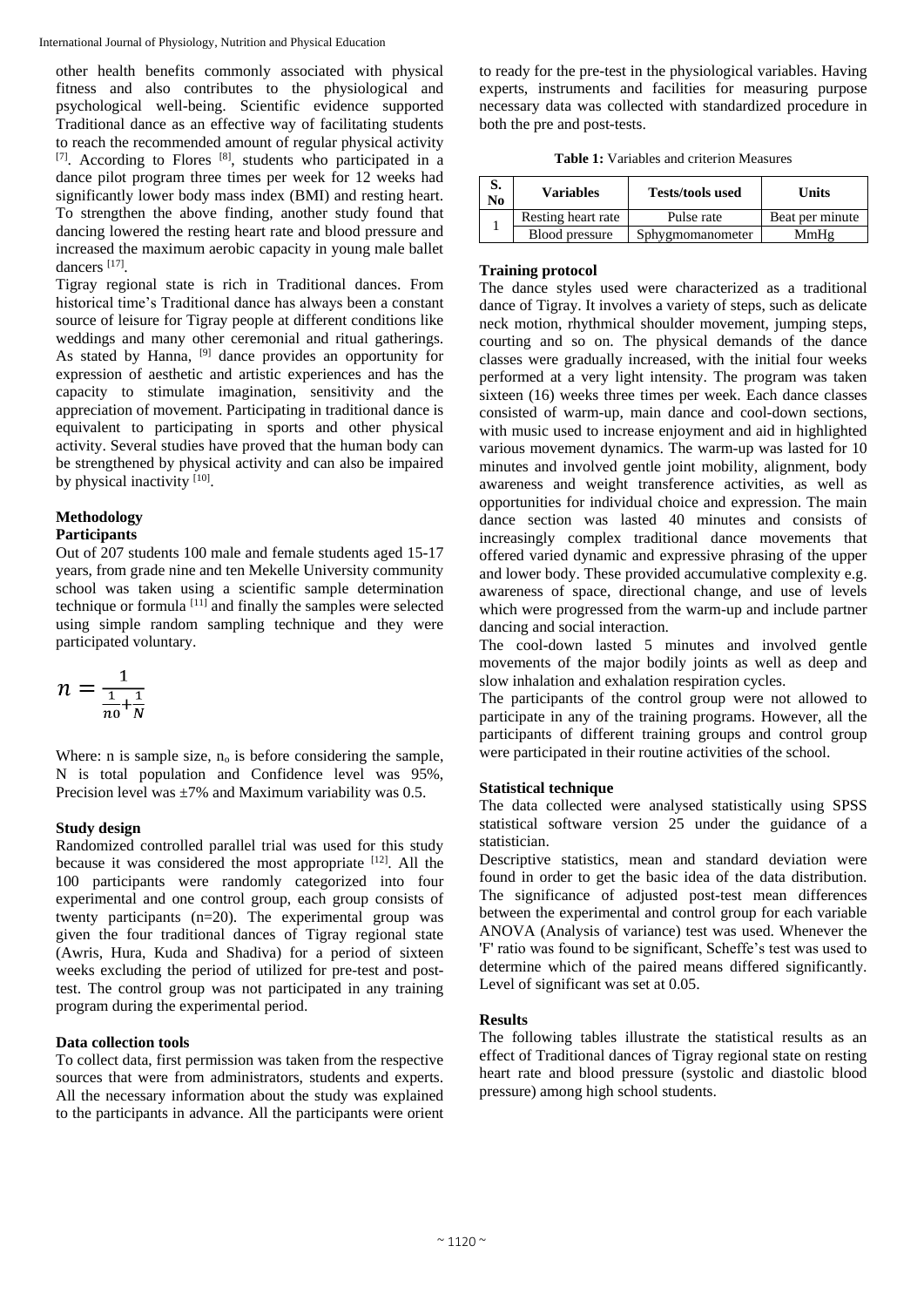other health benefits commonly associated with physical fitness and also contributes to the physiological and psychological well-being. Scientific evidence supported Traditional dance as an effective way of facilitating students to reach the recommended amount of regular physical activity [7]. According to Flores [8], students who participated in a dance pilot program three times per week for 12 weeks had significantly lower body mass index (BMI) and resting heart. To strengthen the above finding, another study found that dancing lowered the resting heart rate and blood pressure and increased the maximum aerobic capacity in young male ballet dancers<sup>[17]</sup>.

Tigray regional state is rich in Traditional dances. From historical time's Traditional dance has always been a constant source of leisure for Tigray people at different conditions like weddings and many other ceremonial and ritual gatherings. As stated by Hanna, <sup>[9]</sup> dance provides an opportunity for expression of aesthetic and artistic experiences and has the capacity to stimulate imagination, sensitivity and the appreciation of movement. Participating in traditional dance is equivalent to participating in sports and other physical activity. Several studies have proved that the human body can be strengthened by physical activity and can also be impaired by physical inactivity [10].

# **Methodology**

## **Participants**

Out of 207 students 100 male and female students aged 15-17 years, from grade nine and ten Mekelle University community school was taken using a scientific sample determination technique or formula [11] and finally the samples were selected using simple random sampling technique and they were participated voluntary.

$$
n = \frac{1}{\frac{1}{n_0} + \frac{1}{N}}
$$

Where: n is sample size,  $n_0$  is before considering the sample, N is total population and Confidence level was 95%, Precision level was  $\pm 7\%$  and Maximum variability was 0.5.

### **Study design**

Randomized controlled parallel trial was used for this study because it was considered the most appropriate [12]. All the 100 participants were randomly categorized into four experimental and one control group, each group consists of twenty participants (n=20). The experimental group was given the four traditional dances of Tigray regional state (Awris, Hura, Kuda and Shadiva) for a period of sixteen weeks excluding the period of utilized for pre-test and posttest. The control group was not participated in any training program during the experimental period.

### **Data collection tools**

To collect data, first permission was taken from the respective sources that were from administrators, students and experts. All the necessary information about the study was explained to the participants in advance. All the participants were orient to ready for the pre-test in the physiological variables. Having experts, instruments and facilities for measuring purpose necessary data was collected with standardized procedure in both the pre and post-tests.

**Table 1:** Variables and criterion Measures

| v.<br>No | <b>Variables</b>   | <b>Tests/tools used</b> | Units           |  |  |  |
|----------|--------------------|-------------------------|-----------------|--|--|--|
|          | Resting heart rate | Pulse rate              | Beat per minute |  |  |  |
|          | Blood pressure     | Sphygmomanometer        | MmHg            |  |  |  |

## **Training protocol**

The dance styles used were characterized as a traditional dance of Tigray. It involves a variety of steps, such as delicate neck motion, rhythmical shoulder movement, jumping steps, courting and so on. The physical demands of the dance classes were gradually increased, with the initial four weeks performed at a very light intensity. The program was taken sixteen (16) weeks three times per week. Each dance classes consisted of warm-up, main dance and cool-down sections, with music used to increase enjoyment and aid in highlighted various movement dynamics. The warm-up was lasted for 10 minutes and involved gentle joint mobility, alignment, body awareness and weight transference activities, as well as opportunities for individual choice and expression. The main dance section was lasted 40 minutes and consists of increasingly complex traditional dance movements that offered varied dynamic and expressive phrasing of the upper and lower body. These provided accumulative complexity e.g. awareness of space, directional change, and use of levels which were progressed from the warm-up and include partner dancing and social interaction.

The cool-down lasted 5 minutes and involved gentle movements of the major bodily joints as well as deep and slow inhalation and exhalation respiration cycles.

The participants of the control group were not allowed to participate in any of the training programs. However, all the participants of different training groups and control group were participated in their routine activities of the school.

## **Statistical technique**

The data collected were analysed statistically using SPSS statistical software version 25 under the guidance of a statistician.

Descriptive statistics, mean and standard deviation were found in order to get the basic idea of the data distribution. The significance of adjusted post-test mean differences between the experimental and control group for each variable ANOVA (Analysis of variance) test was used. Whenever the 'F' ratio was found to be significant, Scheffe's test was used to determine which of the paired means differed significantly. Level of significant was set at 0.05.

## **Results**

The following tables illustrate the statistical results as an effect of Traditional dances of Tigray regional state on resting heart rate and blood pressure (systolic and diastolic blood pressure) among high school students.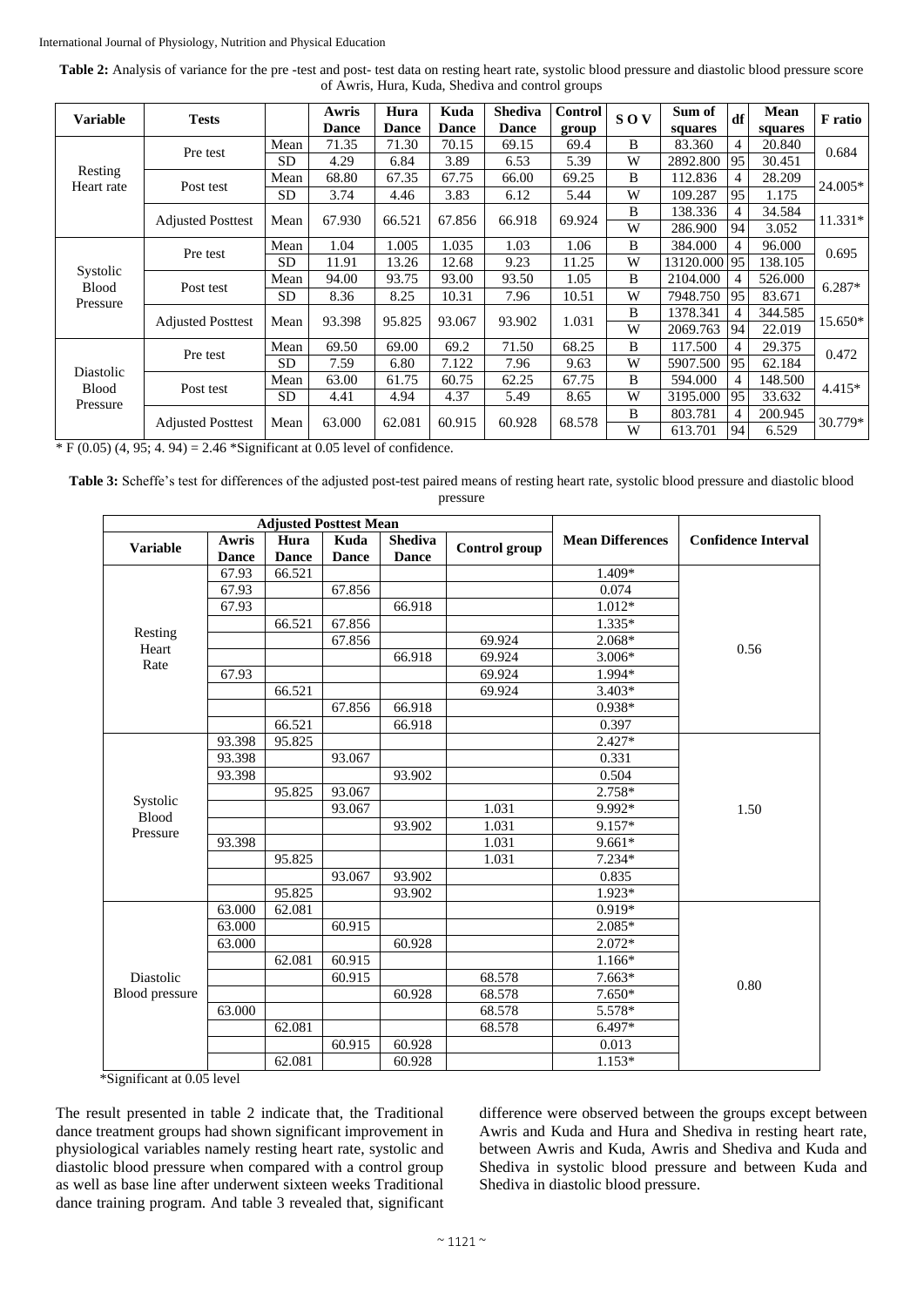| Table 2: Analysis of variance for the pre-test and post-test data on resting heart rate, systolic blood pressure and diastolic blood pressure score |
|-----------------------------------------------------------------------------------------------------------------------------------------------------|
| of Awris, Hura, Kuda, Shediya and control groups                                                                                                    |

| <b>Variable</b>                       | <b>Tests</b>             |           | Awris<br><b>Dance</b> | Hura<br><b>Dance</b> | Kuda<br><b>Dance</b> | <b>Shediva</b><br><b>Dance</b> | Control<br>group | <b>SOV</b> | Sum of<br>squares | df | Mean<br>squares | F ratio  |
|---------------------------------------|--------------------------|-----------|-----------------------|----------------------|----------------------|--------------------------------|------------------|------------|-------------------|----|-----------------|----------|
| Resting<br>Heart rate                 | Pre test                 | Mean      | 71.35                 | 71.30                | 70.15                | 69.15                          | 69.4             | B          | 83.360            | 4  | 20.840          | 0.684    |
|                                       |                          | <b>SD</b> | 4.29                  | 6.84                 | 3.89                 | 6.53                           | 5.39             | W          | 2892.800          | 95 | 30.451          |          |
|                                       | Post test                | Mean      | 68.80                 | 67.35                | 67.75                | 66.00                          | 69.25            | B          | 112.836           |    | 28.209          | 24.005*  |
|                                       |                          | SD        | 3.74                  | 4.46                 | 3.83                 | 6.12                           | 5.44             | W          | 109.287           | 95 | 1.175           |          |
|                                       | <b>Adjusted Posttest</b> | Mean      | 67.930                | 66.521               | 67.856               | 66.918                         | 69.924           | B          | 138.336           |    | 34.584          | 11.331*  |
|                                       |                          |           |                       |                      |                      |                                |                  | W          | 286.900           | 94 | 3.052           |          |
|                                       | Pre test                 | Mean      | 1.04                  | 1.005                | 1.035                | 1.03                           | 1.06             | B          | 384.000           | 4  | 96.000          | 0.695    |
|                                       |                          | <b>SD</b> | 11.91                 | 13.26                | 12.68                | 9.23                           | 11.25            | W          | 13120.000         | 95 | 138.105         |          |
| Systolic<br><b>Blood</b>              | Post test                | Mean      | 94.00                 | 93.75                | 93.00                | 93.50                          | 1.05             | B          | 2104.000          |    | 526.000         | $6.287*$ |
| Pressure                              |                          | <b>SD</b> | 8.36                  | 8.25                 | 10.31                | 7.96                           | 10.51            | W          | 7948.750          | 95 | 83.671          |          |
|                                       | <b>Adjusted Posttest</b> | Mean      | 93.398                | 95.825               | 93.067               | 93.902                         | 1.031            | B          | 1378.341          |    | 344.585         | 15.650*  |
|                                       |                          |           |                       |                      |                      |                                |                  | W          | 2069.763          | 94 | 22.019          |          |
|                                       | Pre test                 | Mean      | 69.50                 | 69.00                | 69.2                 | 71.50                          | 68.25            | B          | 117.500           |    | 29.375          | 0.472    |
|                                       |                          | <b>SD</b> | 7.59                  | 6.80                 | 7.122                | 7.96                           | 9.63             | W          | 5907.500          | 95 | 62.184          |          |
| Diastolic<br><b>Blood</b><br>Pressure | Post test                | Mean      | 63.00                 | 61.75                | 60.75                | 62.25                          | 67.75            | B          | 594.000           | 4  | 148.500         | $4.415*$ |
|                                       |                          | <b>SD</b> | 4.41                  | 4.94                 | 4.37                 | 5.49                           | 8.65             | W          | 3195.000          | 95 | 33.632          |          |
|                                       | <b>Adjusted Posttest</b> | Mean      |                       |                      |                      | 60.928                         | 68.578           | B          | 803.781           | 4  | 200.945         | 30.779*  |
|                                       |                          |           | 63.000                | 62.081               | 60.915               |                                |                  | W          | 613.701           | 94 | 6.529           |          |

 $* F (0.05) (4, 95; 4.94) = 2.46 * Significant at 0.05 level of confidence.$ 

**Table 3:** Scheffe's test for differences of the adjusted post-test paired means of resting heart rate, systolic blood pressure and diastolic blood pressure

|                          |                       | <b>Adjusted Posttest Mean</b> |                      |                                |               |                         |                            |
|--------------------------|-----------------------|-------------------------------|----------------------|--------------------------------|---------------|-------------------------|----------------------------|
| <b>Variable</b>          | Awris<br><b>Dance</b> | Hura<br><b>Dance</b>          | Kuda<br><b>Dance</b> | <b>Shediva</b><br><b>Dance</b> | Control group | <b>Mean Differences</b> | <b>Confidence Interval</b> |
|                          | 67.93                 | 66.521                        |                      |                                |               | 1.409*                  |                            |
|                          | 67.93                 |                               | 67.856               |                                |               | 0.074                   |                            |
|                          | 67.93                 |                               |                      | 66.918                         |               | 1.012*                  |                            |
|                          |                       | 66.521                        | 67.856               |                                |               | 1.335*                  |                            |
| Resting<br>Heart         |                       |                               | 67.856               |                                | 69.924        | 2.068*                  | 0.56                       |
| Rate                     |                       |                               |                      | 66.918                         | 69.924        | $3.006*$                |                            |
|                          | 67.93                 |                               |                      |                                | 69.924        | $1.994*$                |                            |
|                          |                       | 66.521                        |                      |                                | 69.924        | $3.403*$                |                            |
|                          |                       |                               | 67.856               | 66.918                         |               | $0.938*$                |                            |
|                          |                       | 66.521                        |                      | 66.918                         |               | 0.397                   |                            |
|                          | 93.398                | 95.825                        |                      |                                |               | $2.427*$                |                            |
|                          | 93.398                |                               | 93.067               |                                |               | 0.331                   |                            |
|                          | 93.398                |                               |                      | 93.902                         |               | 0.504                   |                            |
|                          |                       | 95.825                        | 93.067               |                                |               | $2.758*$                |                            |
| Systolic<br><b>Blood</b> |                       |                               | 93.067               |                                | 1.031         | 9.992*                  | 1.50                       |
| Pressure                 |                       |                               |                      | 93.902                         | 1.031         | 9.157*                  |                            |
|                          | 93.398                |                               |                      |                                | 1.031         | $9.661*$                |                            |
|                          |                       | 95.825                        |                      |                                | 1.031         | 7.234*                  |                            |
|                          |                       |                               | 93.067               | 93.902                         |               | 0.835                   |                            |
|                          |                       | 95.825                        |                      | 93.902                         |               | 1.923*                  |                            |
|                          | 63.000                | 62.081                        |                      |                                |               | 0.919*                  |                            |
|                          | 63.000                |                               | 60.915               |                                |               | $2.085*$                |                            |
|                          | 63.000                |                               |                      | 60.928                         |               | 2.072*                  |                            |
|                          |                       | 62.081                        | 60.915               |                                |               | 1.166*                  |                            |
| Diastolic                |                       |                               | 68.578<br>60.915     |                                | $7.663*$      | 0.80                    |                            |
| Blood pressure           |                       |                               |                      | 60.928                         | 68.578        | $7.650*$                |                            |
|                          | 63.000                |                               |                      |                                | 68.578        | 5.578*                  |                            |
|                          |                       | 62.081                        |                      |                                | 68.578        | $6.497*$                |                            |
|                          |                       |                               | 60.915               | 60.928                         |               | 0.013                   |                            |
|                          |                       | 62.081                        |                      | 60.928                         |               | 1.153*                  |                            |

\*Significant at 0.05 level

The result presented in table 2 indicate that, the Traditional dance treatment groups had shown significant improvement in physiological variables namely resting heart rate, systolic and diastolic blood pressure when compared with a control group as well as base line after underwent sixteen weeks Traditional dance training program. And table 3 revealed that, significant difference were observed between the groups except between Awris and Kuda and Hura and Shediva in resting heart rate, between Awris and Kuda, Awris and Shediva and Kuda and Shediva in systolic blood pressure and between Kuda and Shediva in diastolic blood pressure.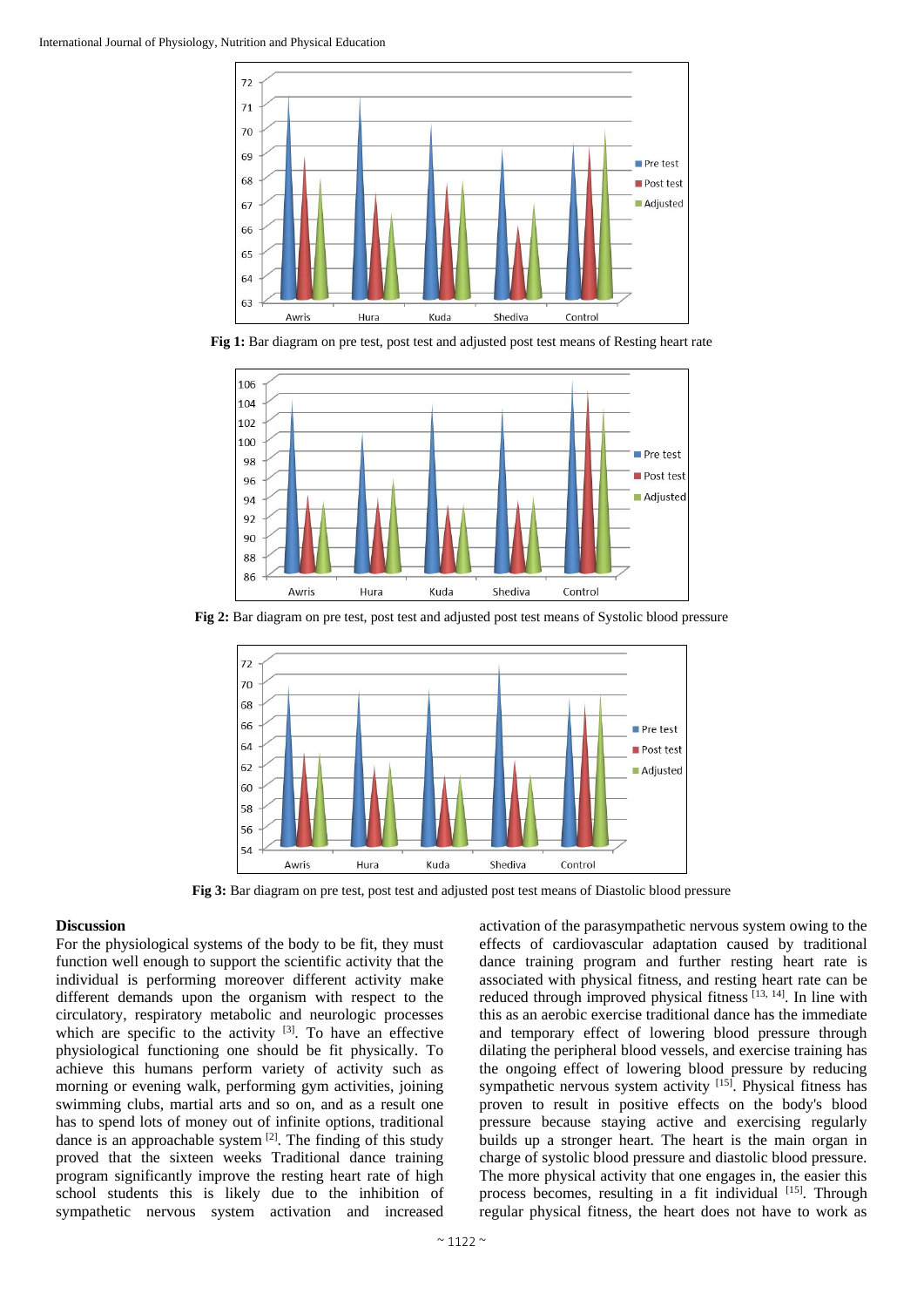

**Fig 1:** Bar diagram on pre test, post test and adjusted post test means of Resting heart rate



**Fig 2:** Bar diagram on pre test, post test and adjusted post test means of Systolic blood pressure



**Fig 3:** Bar diagram on pre test, post test and adjusted post test means of Diastolic blood pressure

#### **Discussion**

For the physiological systems of the body to be fit, they must function well enough to support the scientific activity that the individual is performing moreover different activity make different demands upon the organism with respect to the circulatory, respiratory metabolic and neurologic processes which are specific to the activity  $[3]$ . To have an effective physiological functioning one should be fit physically. To achieve this humans perform variety of activity such as morning or evening walk, performing gym activities, joining swimming clubs, martial arts and so on, and as a result one has to spend lots of money out of infinite options, traditional dance is an approachable system  $[2]$ . The finding of this study proved that the sixteen weeks Traditional dance training program significantly improve the resting heart rate of high school students this is likely due to the inhibition of sympathetic nervous system activation and increased

activation of the parasympathetic nervous system owing to the effects of cardiovascular adaptation caused by traditional dance training program and further resting heart rate is associated with physical fitness, and resting heart rate can be reduced through improved physical fitness [13, 14]. In line with this as an aerobic exercise traditional dance has the immediate and temporary effect of lowering blood pressure through dilating the peripheral blood vessels, and exercise training has the ongoing effect of lowering blood pressure by reducing sympathetic nervous system activity [15]. Physical fitness has proven to result in positive effects on the body's blood pressure because staying active and exercising regularly builds up a stronger heart. The heart is the main organ in charge of systolic blood pressure and diastolic blood pressure. The more physical activity that one engages in, the easier this process becomes, resulting in a fit individual [15]. Through regular physical fitness, the heart does not have to work as